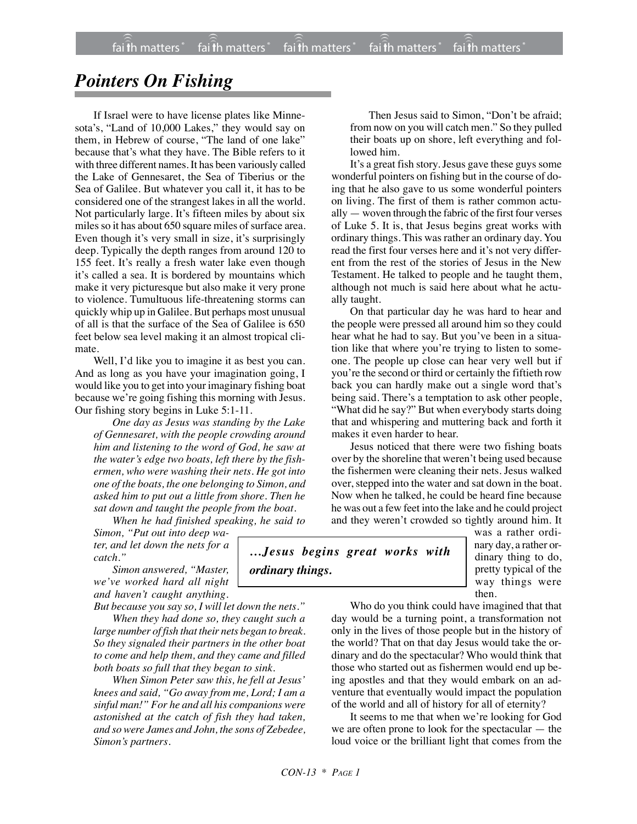## *Pointers On Fishing*

If Israel were to have license plates like Minnesota's, "Land of 10,000 Lakes," they would say on them, in Hebrew of course, "The land of one lake" because that's what they have. The Bible refers to it with three different names. It has been variously called the Lake of Gennesaret, the Sea of Tiberius or the Sea of Galilee. But whatever you call it, it has to be considered one of the strangest lakes in all the world. Not particularly large. It's fifteen miles by about six miles so it has about 650 square miles of surface area. Even though it's very small in size, it's surprisingly deep. Typically the depth ranges from around 120 to 155 feet. It's really a fresh water lake even though it's called a sea. It is bordered by mountains which make it very picturesque but also make it very prone to violence. Tumultuous life-threatening storms can quickly whip up in Galilee. But perhaps most unusual of all is that the surface of the Sea of Galilee is 650 feet below sea level making it an almost tropical climate.

Well, I'd like you to imagine it as best you can. And as long as you have your imagination going, I would like you to get into your imaginary fishing boat because we're going fishing this morning with Jesus. Our fishing story begins in Luke 5:1-11.

*One day as Jesus was standing by the Lake of Gennesaret, with the people crowding around him and listening to the word of God, he saw at the water's edge two boats, left there by the fishermen, who were washing their nets. He got into one of the boats, the one belonging to Simon, and asked him to put out a little from shore. Then he sat down and taught the people from the boat.*

*When he had finished speaking, he said to Simon, "Put out into deep water, and let down the nets for a*

*catch." Simon answered, "Master, we've worked hard all night and haven't caught anything.*

*But because you say so, I will let down the nets."*

*When they had done so, they caught such a large number of fish that their nets began to break. So they signaled their partners in the other boat to come and help them, and they came and filled both boats so full that they began to sink.*

*When Simon Peter saw this, he fell at Jesus' knees and said, "Go away from me, Lord; I am a sinful man!" For he and all his companions were astonished at the catch of fish they had taken, and so were James and John, the sons of Zebedee, Simon's partners.*

Then Jesus said to Simon, "Don't be afraid; from now on you will catch men." So they pulled their boats up on shore, left everything and followed him.

It's a great fish story. Jesus gave these guys some wonderful pointers on fishing but in the course of doing that he also gave to us some wonderful pointers on living. The first of them is rather common actually — woven through the fabric of the first four verses of Luke 5. It is, that Jesus begins great works with ordinary things. This was rather an ordinary day. You read the first four verses here and it's not very different from the rest of the stories of Jesus in the New Testament. He talked to people and he taught them, although not much is said here about what he actually taught.

On that particular day he was hard to hear and the people were pressed all around him so they could hear what he had to say. But you've been in a situation like that where you're trying to listen to someone. The people up close can hear very well but if you're the second or third or certainly the fiftieth row back you can hardly make out a single word that's being said. There's a temptation to ask other people, "What did he say?" But when everybody starts doing that and whispering and muttering back and forth it makes it even harder to hear.

Jesus noticed that there were two fishing boats over by the shoreline that weren't being used because the fishermen were cleaning their nets. Jesus walked over, stepped into the water and sat down in the boat. Now when he talked, he could be heard fine because he was out a few feet into the lake and he could project and they weren't crowded so tightly around him. It

*…Jesus begins great works with ordinary things.*

was a rather ordinary day, a rather ordinary thing to do, pretty typical of the way things were then.

Who do you think could have imagined that that day would be a turning point, a transformation not only in the lives of those people but in the history of the world? That on that day Jesus would take the ordinary and do the spectacular? Who would think that those who started out as fishermen would end up being apostles and that they would embark on an adventure that eventually would impact the population of the world and all of history for all of eternity?

It seems to me that when we're looking for God we are often prone to look for the spectacular — the loud voice or the brilliant light that comes from the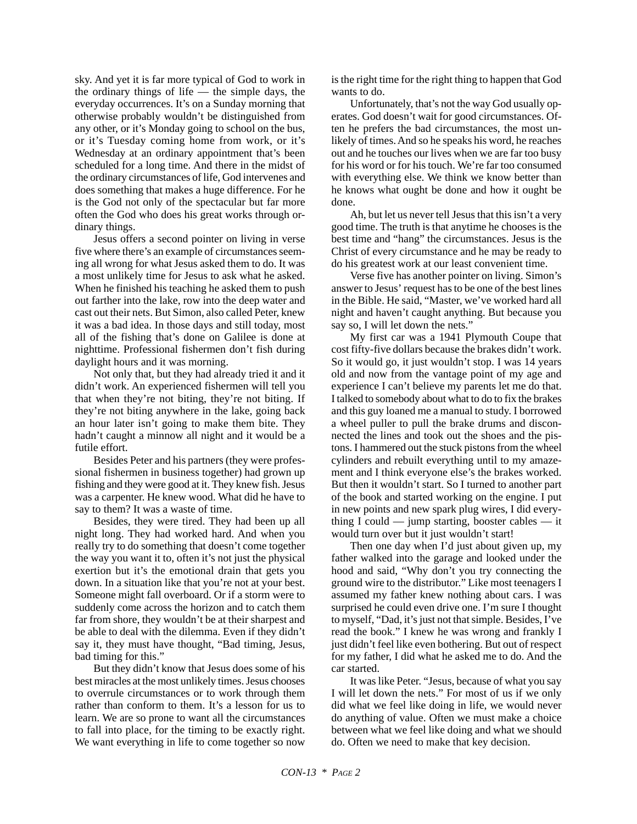sky. And yet it is far more typical of God to work in the ordinary things of life — the simple days, the everyday occurrences. It's on a Sunday morning that otherwise probably wouldn't be distinguished from any other, or it's Monday going to school on the bus, or it's Tuesday coming home from work, or it's Wednesday at an ordinary appointment that's been scheduled for a long time. And there in the midst of the ordinary circumstances of life, God intervenes and does something that makes a huge difference. For he is the God not only of the spectacular but far more often the God who does his great works through ordinary things.

Jesus offers a second pointer on living in verse five where there's an example of circumstances seeming all wrong for what Jesus asked them to do. It was a most unlikely time for Jesus to ask what he asked. When he finished his teaching he asked them to push out farther into the lake, row into the deep water and cast out their nets. But Simon, also called Peter, knew it was a bad idea. In those days and still today, most all of the fishing that's done on Galilee is done at nighttime. Professional fishermen don't fish during daylight hours and it was morning.

Not only that, but they had already tried it and it didn't work. An experienced fishermen will tell you that when they're not biting, they're not biting. If they're not biting anywhere in the lake, going back an hour later isn't going to make them bite. They hadn't caught a minnow all night and it would be a futile effort.

Besides Peter and his partners (they were professional fishermen in business together) had grown up fishing and they were good at it. They knew fish. Jesus was a carpenter. He knew wood. What did he have to say to them? It was a waste of time.

Besides, they were tired. They had been up all night long. They had worked hard. And when you really try to do something that doesn't come together the way you want it to, often it's not just the physical exertion but it's the emotional drain that gets you down. In a situation like that you're not at your best. Someone might fall overboard. Or if a storm were to suddenly come across the horizon and to catch them far from shore, they wouldn't be at their sharpest and be able to deal with the dilemma. Even if they didn't say it, they must have thought, "Bad timing, Jesus, bad timing for this."

But they didn't know that Jesus does some of his best miracles at the most unlikely times. Jesus chooses to overrule circumstances or to work through them rather than conform to them. It's a lesson for us to learn. We are so prone to want all the circumstances to fall into place, for the timing to be exactly right. We want everything in life to come together so now is the right time for the right thing to happen that God wants to do.

Unfortunately, that's not the way God usually operates. God doesn't wait for good circumstances. Often he prefers the bad circumstances, the most unlikely of times. And so he speaks his word, he reaches out and he touches our lives when we are far too busy for his word or for his touch. We're far too consumed with everything else. We think we know better than he knows what ought be done and how it ought be done.

Ah, but let us never tell Jesus that this isn't a very good time. The truth is that anytime he chooses is the best time and "hang" the circumstances. Jesus is the Christ of every circumstance and he may be ready to do his greatest work at our least convenient time.

Verse five has another pointer on living. Simon's answer to Jesus' request has to be one of the best lines in the Bible. He said, "Master, we've worked hard all night and haven't caught anything. But because you say so, I will let down the nets."

My first car was a 1941 Plymouth Coupe that cost fifty-five dollars because the brakes didn't work. So it would go, it just wouldn't stop. I was 14 years old and now from the vantage point of my age and experience I can't believe my parents let me do that. I talked to somebody about what to do to fix the brakes and this guy loaned me a manual to study. I borrowed a wheel puller to pull the brake drums and disconnected the lines and took out the shoes and the pistons. I hammered out the stuck pistons from the wheel cylinders and rebuilt everything until to my amazement and I think everyone else's the brakes worked. But then it wouldn't start. So I turned to another part of the book and started working on the engine. I put in new points and new spark plug wires, I did everything I could — jump starting, booster cables — it would turn over but it just wouldn't start!

Then one day when I'd just about given up, my father walked into the garage and looked under the hood and said, "Why don't you try connecting the ground wire to the distributor." Like most teenagers I assumed my father knew nothing about cars. I was surprised he could even drive one. I'm sure I thought to myself, "Dad, it's just not that simple. Besides, I've read the book." I knew he was wrong and frankly I just didn't feel like even bothering. But out of respect for my father, I did what he asked me to do. And the car started.

It was like Peter. "Jesus, because of what you say I will let down the nets." For most of us if we only did what we feel like doing in life, we would never do anything of value. Often we must make a choice between what we feel like doing and what we should do. Often we need to make that key decision.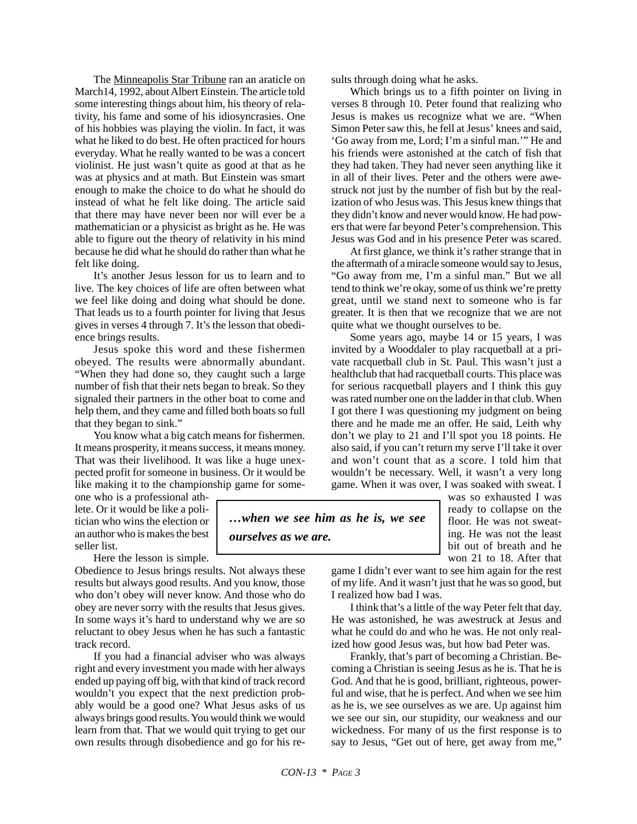The Minneapolis Star Tribune ran an araticle on March14, 1992, about Albert Einstein. The article told some interesting things about him, his theory of relativity, his fame and some of his idiosyncrasies. One of his hobbies was playing the violin. In fact, it was what he liked to do best. He often practiced for hours everyday. What he really wanted to be was a concert violinist. He just wasn't quite as good at that as he was at physics and at math. But Einstein was smart enough to make the choice to do what he should do instead of what he felt like doing. The article said that there may have never been nor will ever be a mathematician or a physicist as bright as he. He was able to figure out the theory of relativity in his mind because he did what he should do rather than what he felt like doing.

It's another Jesus lesson for us to learn and to live. The key choices of life are often between what we feel like doing and doing what should be done. That leads us to a fourth pointer for living that Jesus gives in verses 4 through 7. It's the lesson that obedience brings results.

Jesus spoke this word and these fishermen obeyed. The results were abnormally abundant. "When they had done so, they caught such a large number of fish that their nets began to break. So they signaled their partners in the other boat to come and help them, and they came and filled both boats so full that they began to sink."

You know what a big catch means for fishermen. It means prosperity, it means success, it means money. That was their livelihood. It was like a huge unexpected profit for someone in business. Or it would be like making it to the championship game for some-

one who is a professional athlete. Or it would be like a politician who wins the election or an author who is makes the best seller list.

Here the lesson is simple.

Obedience to Jesus brings results. Not always these results but always good results. And you know, those who don't obey will never know. And those who do obey are never sorry with the results that Jesus gives. In some ways it's hard to understand why we are so reluctant to obey Jesus when he has such a fantastic track record.

If you had a financial adviser who was always right and every investment you made with her always ended up paying off big, with that kind of track record wouldn't you expect that the next prediction probably would be a good one? What Jesus asks of us always brings good results. You would think we would learn from that. That we would quit trying to get our own results through disobedience and go for his results through doing what he asks.

Which brings us to a fifth pointer on living in verses 8 through 10. Peter found that realizing who Jesus is makes us recognize what we are. "When Simon Peter saw this, he fell at Jesus' knees and said, 'Go away from me, Lord; I'm a sinful man.'" He and his friends were astonished at the catch of fish that they had taken. They had never seen anything like it in all of their lives. Peter and the others were awestruck not just by the number of fish but by the realization of who Jesus was. This Jesus knew things that they didn't know and never would know. He had powers that were far beyond Peter's comprehension. This Jesus was God and in his presence Peter was scared.

At first glance, we think it's rather strange that in the aftermath of a miracle someone would say to Jesus, "Go away from me, I'm a sinful man." But we all tend to think we're okay, some of us think we're pretty great, until we stand next to someone who is far greater. It is then that we recognize that we are not quite what we thought ourselves to be.

Some years ago, maybe 14 or 15 years, I was invited by a Wooddaler to play racquetball at a private racquetball club in St. Paul. This wasn't just a healthclub that had racquetball courts. This place was for serious racquetball players and I think this guy was rated number one on the ladder in that club. When I got there I was questioning my judgment on being there and he made me an offer. He said, Leith why don't we play to 21 and I'll spot you 18 points. He also said, if you can't return my serve I'll take it over and won't count that as a score. I told him that wouldn't be necessary. Well, it wasn't a very long game. When it was over, I was soaked with sweat. I

> was so exhausted I was ready to collapse on the floor. He was not sweating. He was not the least bit out of breath and he won 21 to 18. After that

game I didn't ever want to see him again for the rest of my life. And it wasn't just that he was so good, but I realized how bad I was.

I think that's a little of the way Peter felt that day. He was astonished, he was awestruck at Jesus and what he could do and who he was. He not only realized how good Jesus was, but how bad Peter was.

Frankly, that's part of becoming a Christian. Becoming a Christian is seeing Jesus as he is. That he is God. And that he is good, brilliant, righteous, powerful and wise, that he is perfect. And when we see him as he is, we see ourselves as we are. Up against him we see our sin, our stupidity, our weakness and our wickedness. For many of us the first response is to say to Jesus, "Get out of here, get away from me,"

*ourselves as we are.*

*…when we see him as he is, we see*